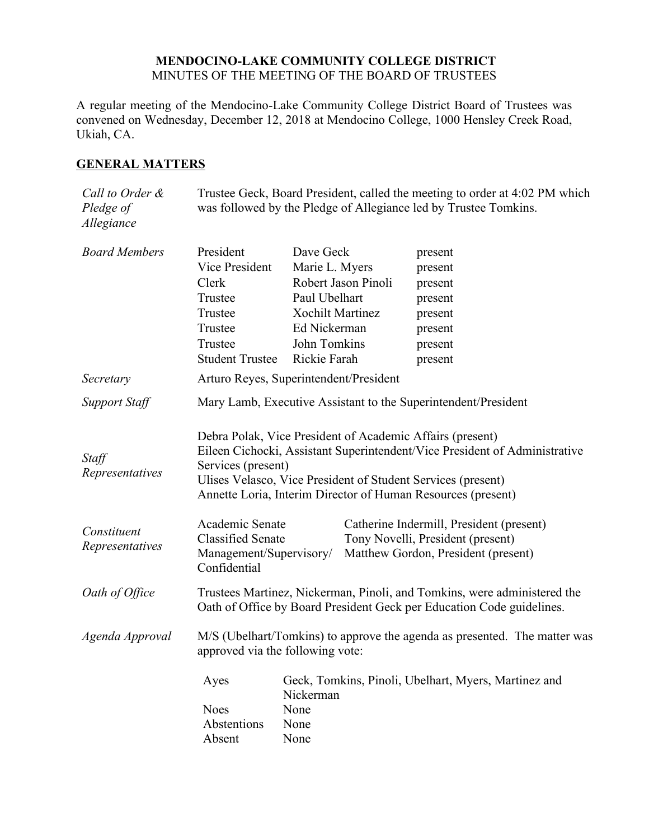## **MENDOCINO-LAKE COMMUNITY COLLEGE DISTRICT** MINUTES OF THE MEETING OF THE BOARD OF TRUSTEES

A regular meeting of the Mendocino-Lake Community College District Board of Trustees was convened on Wednesday, December 12, 2018 at Mendocino College, 1000 Hensley Creek Road, Ukiah, CA.

## **GENERAL MATTERS**

| Call to Order &<br>Pledge of<br>Allegiance | Trustee Geck, Board President, called the meeting to order at 4:02 PM which<br>was followed by the Pledge of Allegiance led by Trustee Tomkins.                                                                                                                                               |                                                                |                                          |  |
|--------------------------------------------|-----------------------------------------------------------------------------------------------------------------------------------------------------------------------------------------------------------------------------------------------------------------------------------------------|----------------------------------------------------------------|------------------------------------------|--|
| <b>Board Members</b>                       | President                                                                                                                                                                                                                                                                                     | Dave Geck                                                      | present                                  |  |
|                                            | Vice President                                                                                                                                                                                                                                                                                | Marie L. Myers                                                 | present                                  |  |
|                                            | Clerk                                                                                                                                                                                                                                                                                         | Robert Jason Pinoli                                            | present                                  |  |
|                                            | Trustee                                                                                                                                                                                                                                                                                       | Paul Ubelhart                                                  | present                                  |  |
|                                            | Trustee                                                                                                                                                                                                                                                                                       | <b>Xochilt Martinez</b>                                        | present                                  |  |
|                                            | Trustee                                                                                                                                                                                                                                                                                       | Ed Nickerman                                                   | present                                  |  |
|                                            | Trustee                                                                                                                                                                                                                                                                                       | <b>John Tomkins</b>                                            | present                                  |  |
|                                            | <b>Student Trustee</b>                                                                                                                                                                                                                                                                        | Rickie Farah                                                   | present                                  |  |
| Secretary                                  |                                                                                                                                                                                                                                                                                               | Arturo Reyes, Superintendent/President                         |                                          |  |
| <b>Support Staff</b>                       |                                                                                                                                                                                                                                                                                               | Mary Lamb, Executive Assistant to the Superintendent/President |                                          |  |
| Staff<br>Representatives                   | Debra Polak, Vice President of Academic Affairs (present)<br>Eileen Cichocki, Assistant Superintendent/Vice President of Administrative<br>Services (present)<br>Ulises Velasco, Vice President of Student Services (present)<br>Annette Loria, Interim Director of Human Resources (present) |                                                                |                                          |  |
|                                            | Academic Senate                                                                                                                                                                                                                                                                               |                                                                | Catherine Indermill, President (present) |  |
| Constituent                                | <b>Classified Senate</b>                                                                                                                                                                                                                                                                      |                                                                | Tony Novelli, President (present)        |  |
| Representatives                            | Matthew Gordon, President (present)<br>Management/Supervisory/<br>Confidential                                                                                                                                                                                                                |                                                                |                                          |  |
| Oath of Office                             | Trustees Martinez, Nickerman, Pinoli, and Tomkins, were administered the<br>Oath of Office by Board President Geck per Education Code guidelines.                                                                                                                                             |                                                                |                                          |  |
| Agenda Approval                            | M/S (Ubelhart/Tomkins) to approve the agenda as presented. The matter was<br>approved via the following vote:                                                                                                                                                                                 |                                                                |                                          |  |
|                                            | Geck, Tomkins, Pinoli, Ubelhart, Myers, Martinez and<br>Ayes<br>Nickerman                                                                                                                                                                                                                     |                                                                |                                          |  |
|                                            | <b>Noes</b>                                                                                                                                                                                                                                                                                   | None                                                           |                                          |  |
|                                            | Abstentions                                                                                                                                                                                                                                                                                   | None                                                           |                                          |  |
|                                            | Absent                                                                                                                                                                                                                                                                                        | None                                                           |                                          |  |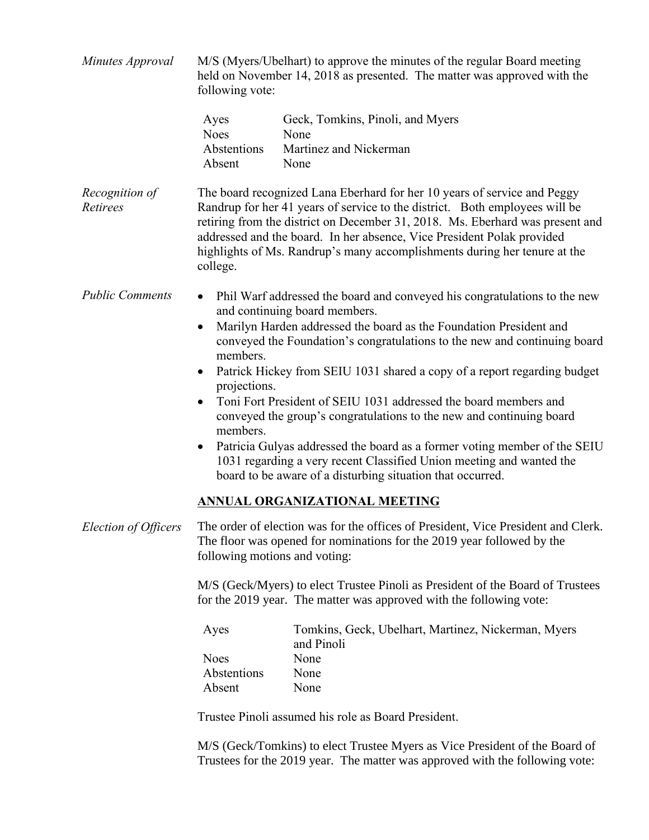| Minutes Approval           | M/S (Myers/Ubelhart) to approve the minutes of the regular Board meeting<br>held on November 14, 2018 as presented. The matter was approved with the<br>following vote:                                                                                                        |                                                                                                                                                                                                                                                                                                                                                                                                                                                                                                                                                                                                                                                                                                                                           |  |
|----------------------------|--------------------------------------------------------------------------------------------------------------------------------------------------------------------------------------------------------------------------------------------------------------------------------|-------------------------------------------------------------------------------------------------------------------------------------------------------------------------------------------------------------------------------------------------------------------------------------------------------------------------------------------------------------------------------------------------------------------------------------------------------------------------------------------------------------------------------------------------------------------------------------------------------------------------------------------------------------------------------------------------------------------------------------------|--|
|                            | Ayes<br><b>Noes</b><br>Abstentions<br>Absent                                                                                                                                                                                                                                   | Geck, Tomkins, Pinoli, and Myers<br>None<br>Martinez and Nickerman<br>None                                                                                                                                                                                                                                                                                                                                                                                                                                                                                                                                                                                                                                                                |  |
| Recognition of<br>Retirees | college.                                                                                                                                                                                                                                                                       | The board recognized Lana Eberhard for her 10 years of service and Peggy<br>Randrup for her 41 years of service to the district. Both employees will be<br>retiring from the district on December 31, 2018. Ms. Eberhard was present and<br>addressed and the board. In her absence, Vice President Polak provided<br>highlights of Ms. Randrup's many accomplishments during her tenure at the                                                                                                                                                                                                                                                                                                                                           |  |
| <b>Public Comments</b>     | members.<br>projections.<br>$\bullet$<br>members.                                                                                                                                                                                                                              | Phil Warf addressed the board and conveyed his congratulations to the new<br>and continuing board members.<br>Marilyn Harden addressed the board as the Foundation President and<br>conveyed the Foundation's congratulations to the new and continuing board<br>Patrick Hickey from SEIU 1031 shared a copy of a report regarding budget<br>Toni Fort President of SEIU 1031 addressed the board members and<br>conveyed the group's congratulations to the new and continuing board<br>Patricia Gulyas addressed the board as a former voting member of the SEIU<br>1031 regarding a very recent Classified Union meeting and wanted the<br>board to be aware of a disturbing situation that occurred.<br>ANNUAL ORGANIZATIONAL MEETING |  |
| Election of Officers       | The order of election was for the offices of President, Vice President and Clerk.<br>The floor was opened for nominations for the 2019 year followed by the<br>following motions and voting:<br>M/S (Geck/Myers) to elect Trustee Pinoli as President of the Board of Trustees |                                                                                                                                                                                                                                                                                                                                                                                                                                                                                                                                                                                                                                                                                                                                           |  |
|                            | for the 2019 year. The matter was approved with the following vote:                                                                                                                                                                                                            |                                                                                                                                                                                                                                                                                                                                                                                                                                                                                                                                                                                                                                                                                                                                           |  |
|                            | Ayes                                                                                                                                                                                                                                                                           | Tomkins, Geck, Ubelhart, Martinez, Nickerman, Myers<br>and Pinoli                                                                                                                                                                                                                                                                                                                                                                                                                                                                                                                                                                                                                                                                         |  |
|                            | <b>Noes</b>                                                                                                                                                                                                                                                                    | None                                                                                                                                                                                                                                                                                                                                                                                                                                                                                                                                                                                                                                                                                                                                      |  |
|                            | Abstentions                                                                                                                                                                                                                                                                    | None                                                                                                                                                                                                                                                                                                                                                                                                                                                                                                                                                                                                                                                                                                                                      |  |
|                            | Absent                                                                                                                                                                                                                                                                         | None                                                                                                                                                                                                                                                                                                                                                                                                                                                                                                                                                                                                                                                                                                                                      |  |
|                            |                                                                                                                                                                                                                                                                                | Trustee Pinoli assumed his role as Board President.                                                                                                                                                                                                                                                                                                                                                                                                                                                                                                                                                                                                                                                                                       |  |

M/S (Geck/Tomkins) to elect Trustee Myers as Vice President of the Board of Trustees for the 2019 year. The matter was approved with the following vote: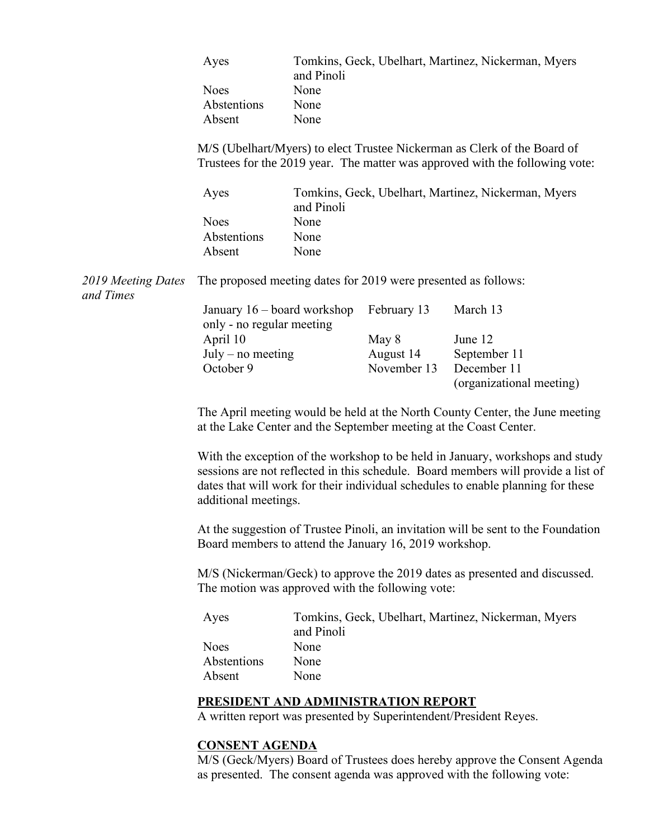|                                 | Ayes<br><b>Noes</b><br>Abstentions<br>Absent                                                                                                                                                                                                                                   | and Pinoli<br>None<br>None<br>None                                |                          | Tomkins, Geck, Ubelhart, Martinez, Nickerman, Myers                       |
|---------------------------------|--------------------------------------------------------------------------------------------------------------------------------------------------------------------------------------------------------------------------------------------------------------------------------|-------------------------------------------------------------------|--------------------------|---------------------------------------------------------------------------|
|                                 | M/S (Ubelhart/Myers) to elect Trustee Nickerman as Clerk of the Board of<br>Trustees for the 2019 year. The matter was approved with the following vote:                                                                                                                       |                                                                   |                          |                                                                           |
|                                 | Ayes                                                                                                                                                                                                                                                                           | Tomkins, Geck, Ubelhart, Martinez, Nickerman, Myers<br>and Pinoli |                          |                                                                           |
|                                 | <b>Noes</b><br>Abstentions<br>Absent                                                                                                                                                                                                                                           | None<br>None<br>None                                              |                          |                                                                           |
| 2019 Meeting Dates<br>and Times | The proposed meeting dates for 2019 were presented as follows:                                                                                                                                                                                                                 |                                                                   |                          |                                                                           |
|                                 | January 16 – board workshop                                                                                                                                                                                                                                                    |                                                                   | February 13              | March 13                                                                  |
|                                 | only - no regular meeting                                                                                                                                                                                                                                                      |                                                                   |                          |                                                                           |
|                                 | April 10                                                                                                                                                                                                                                                                       |                                                                   | May 8                    | June 12                                                                   |
|                                 | $July - no meeting$<br>October 9                                                                                                                                                                                                                                               |                                                                   | August 14<br>November 13 | September 11<br>December 11                                               |
|                                 |                                                                                                                                                                                                                                                                                |                                                                   |                          | (organizational meeting)                                                  |
|                                 | The April meeting would be held at the North County Center, the June meeting<br>at the Lake Center and the September meeting at the Coast Center.                                                                                                                              |                                                                   |                          |                                                                           |
|                                 | With the exception of the workshop to be held in January, workshops and study<br>sessions are not reflected in this schedule. Board members will provide a list of<br>dates that will work for their individual schedules to enable planning for these<br>additional meetings. |                                                                   |                          |                                                                           |
|                                 | At the suggestion of Trustee Pinoli, an invitation will be sent to the Foundation<br>Board members to attend the January 16, 2019 workshop.                                                                                                                                    |                                                                   |                          |                                                                           |
|                                 | M/S (Nickerman/Geck) to approve the 2019 dates as presented and discussed.<br>The motion was approved with the following vote:                                                                                                                                                 |                                                                   |                          |                                                                           |
|                                 | Ayes                                                                                                                                                                                                                                                                           | and Pinoli                                                        |                          | Tomkins, Geck, Ubelhart, Martinez, Nickerman, Myers                       |
|                                 | <b>Noes</b>                                                                                                                                                                                                                                                                    | None                                                              |                          |                                                                           |
|                                 | Abstentions                                                                                                                                                                                                                                                                    | None                                                              |                          |                                                                           |
|                                 | Absent                                                                                                                                                                                                                                                                         | None                                                              |                          |                                                                           |
|                                 | PRESIDENT AND ADMINISTRATION REPORT<br>A written report was presented by Superintendent/President Reyes.                                                                                                                                                                       |                                                                   |                          |                                                                           |
|                                 | <b>CONSENT AGENDA</b>                                                                                                                                                                                                                                                          |                                                                   |                          | M/S (Geck/Myers) Board of Trustees does hereby approve the Consent Agenda |

as presented. The consent agenda was approved with the following vote: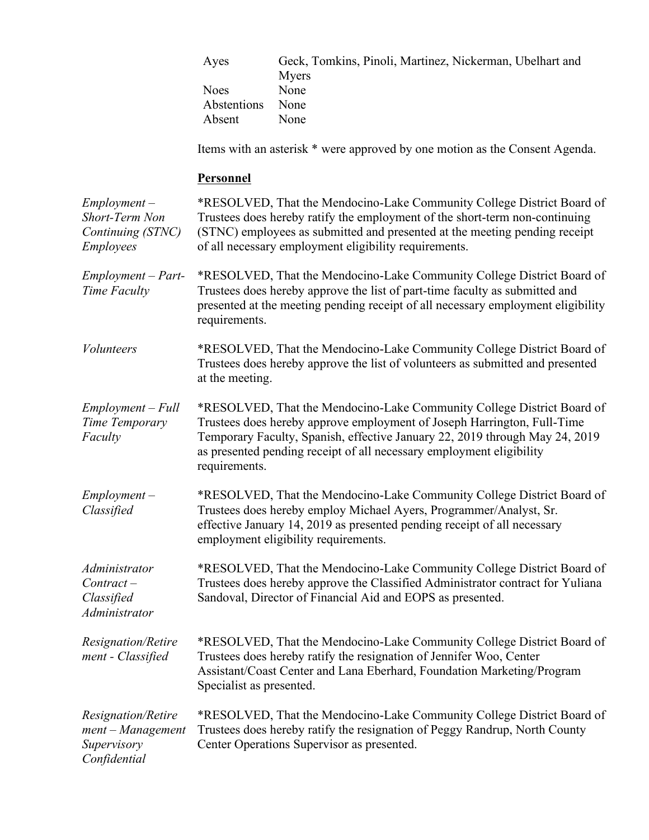| Ayes        | Geck, Tomkins, Pinoli, Martinez, Nickerman, Ubelhart and |
|-------------|----------------------------------------------------------|
|             | Myers                                                    |
| <b>Noes</b> | None                                                     |
| Abstentions | None                                                     |
| Absent      | <b>None</b>                                              |

Items with an asterisk \* were approved by one motion as the Consent Agenda.

# **Personnel**

| $Employment -$<br>Short-Term Non<br>Continuing (STNC)<br><b>Employees</b> | *RESOLVED, That the Mendocino-Lake Community College District Board of<br>Trustees does hereby ratify the employment of the short-term non-continuing<br>(STNC) employees as submitted and presented at the meeting pending receipt<br>of all necessary employment eligibility requirements.                              |
|---------------------------------------------------------------------------|---------------------------------------------------------------------------------------------------------------------------------------------------------------------------------------------------------------------------------------------------------------------------------------------------------------------------|
| $Employment - Part-$<br>Time Faculty                                      | *RESOLVED, That the Mendocino-Lake Community College District Board of<br>Trustees does hereby approve the list of part-time faculty as submitted and<br>presented at the meeting pending receipt of all necessary employment eligibility<br>requirements.                                                                |
| <i>Volunteers</i>                                                         | *RESOLVED, That the Mendocino-Lake Community College District Board of<br>Trustees does hereby approve the list of volunteers as submitted and presented<br>at the meeting.                                                                                                                                               |
| $Employment - Full$<br>Time Temporary<br>Faculty                          | *RESOLVED, That the Mendocino-Lake Community College District Board of<br>Trustees does hereby approve employment of Joseph Harrington, Full-Time<br>Temporary Faculty, Spanish, effective January 22, 2019 through May 24, 2019<br>as presented pending receipt of all necessary employment eligibility<br>requirements. |
| $Employment -$<br>Classified                                              | *RESOLVED, That the Mendocino-Lake Community College District Board of<br>Trustees does hereby employ Michael Ayers, Programmer/Analyst, Sr.<br>effective January 14, 2019 as presented pending receipt of all necessary<br>employment eligibility requirements.                                                          |
| Administrator<br>$Contract -$<br>Classified<br>Administrator              | *RESOLVED, That the Mendocino-Lake Community College District Board of<br>Trustees does hereby approve the Classified Administrator contract for Yuliana<br>Sandoval, Director of Financial Aid and EOPS as presented.                                                                                                    |
| Resignation/Retire<br>ment - Classified                                   | *RESOLVED, That the Mendocino-Lake Community College District Board of<br>Trustees does hereby ratify the resignation of Jennifer Woo, Center<br>Assistant/Coast Center and Lana Eberhard, Foundation Marketing/Program<br>Specialist as presented.                                                                       |
| Resignation/Retire<br>$ment-Management$<br>Supervisory<br>Confidential    | *RESOLVED, That the Mendocino-Lake Community College District Board of<br>Trustees does hereby ratify the resignation of Peggy Randrup, North County<br>Center Operations Supervisor as presented.                                                                                                                        |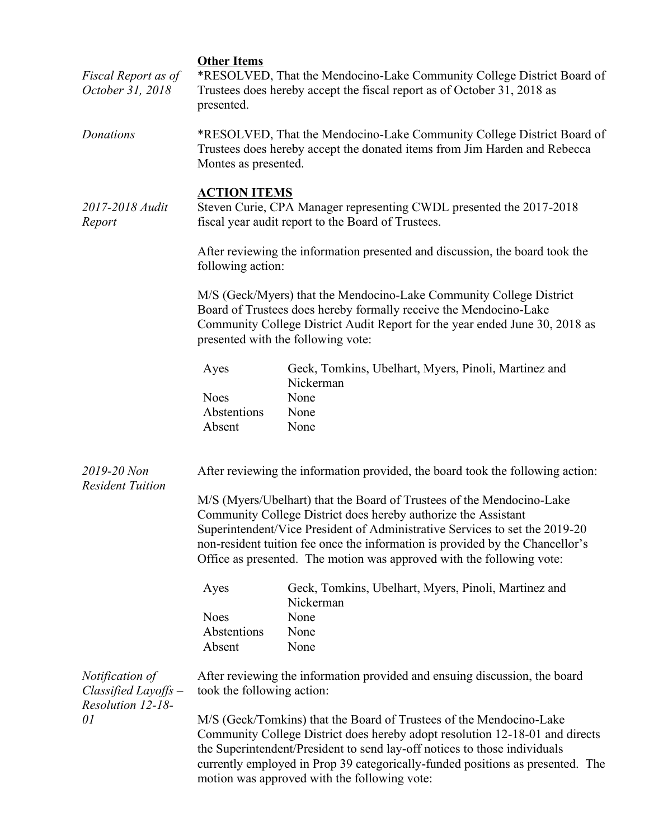| Fiscal Report as of<br>October 31, 2018      | <b>Other Items</b><br>*RESOLVED, That the Mendocino-Lake Community College District Board of<br>Trustees does hereby accept the fiscal report as of October 31, 2018 as<br>presented.                                                                                                                                                                                            |                                                                                                                                                                                                                                                               |  |
|----------------------------------------------|----------------------------------------------------------------------------------------------------------------------------------------------------------------------------------------------------------------------------------------------------------------------------------------------------------------------------------------------------------------------------------|---------------------------------------------------------------------------------------------------------------------------------------------------------------------------------------------------------------------------------------------------------------|--|
| Donations                                    | Montes as presented.                                                                                                                                                                                                                                                                                                                                                             | *RESOLVED, That the Mendocino-Lake Community College District Board of<br>Trustees does hereby accept the donated items from Jim Harden and Rebecca                                                                                                           |  |
| 2017-2018 Audit<br>Report                    | <b>ACTION ITEMS</b><br>Steven Curie, CPA Manager representing CWDL presented the 2017-2018<br>fiscal year audit report to the Board of Trustees.                                                                                                                                                                                                                                 |                                                                                                                                                                                                                                                               |  |
|                                              | After reviewing the information presented and discussion, the board took the<br>following action:                                                                                                                                                                                                                                                                                |                                                                                                                                                                                                                                                               |  |
|                                              |                                                                                                                                                                                                                                                                                                                                                                                  | M/S (Geck/Myers) that the Mendocino-Lake Community College District<br>Board of Trustees does hereby formally receive the Mendocino-Lake<br>Community College District Audit Report for the year ended June 30, 2018 as<br>presented with the following vote: |  |
|                                              | Ayes                                                                                                                                                                                                                                                                                                                                                                             | Geck, Tomkins, Ubelhart, Myers, Pinoli, Martinez and<br>Nickerman                                                                                                                                                                                             |  |
|                                              | <b>Noes</b><br>Abstentions<br>Absent                                                                                                                                                                                                                                                                                                                                             | None<br>None<br>None                                                                                                                                                                                                                                          |  |
| 2019-20 Non<br><b>Resident Tuition</b>       |                                                                                                                                                                                                                                                                                                                                                                                  | After reviewing the information provided, the board took the following action:                                                                                                                                                                                |  |
|                                              | M/S (Myers/Ubelhart) that the Board of Trustees of the Mendocino-Lake<br>Community College District does hereby authorize the Assistant<br>Superintendent/Vice President of Administrative Services to set the 2019-20<br>non-resident tuition fee once the information is provided by the Chancellor's<br>Office as presented. The motion was approved with the following vote: |                                                                                                                                                                                                                                                               |  |
|                                              | Ayes                                                                                                                                                                                                                                                                                                                                                                             | Geck, Tomkins, Ubelhart, Myers, Pinoli, Martinez and                                                                                                                                                                                                          |  |
|                                              | <b>Noes</b><br>Abstentions<br>Absent                                                                                                                                                                                                                                                                                                                                             | Nickerman<br>None<br>None<br>None                                                                                                                                                                                                                             |  |
| Notification of<br>$Classified \, Layoffs$ – | After reviewing the information provided and ensuing discussion, the board<br>took the following action:                                                                                                                                                                                                                                                                         |                                                                                                                                                                                                                                                               |  |
| Resolution 12-18-<br>01                      | M/S (Geck/Tomkins) that the Board of Trustees of the Mendocino-Lake<br>Community College District does hereby adopt resolution 12-18-01 and directs<br>the Superintendent/President to send lay-off notices to those individuals<br>currently employed in Prop 39 categorically-funded positions as presented. The<br>motion was approved with the following vote:               |                                                                                                                                                                                                                                                               |  |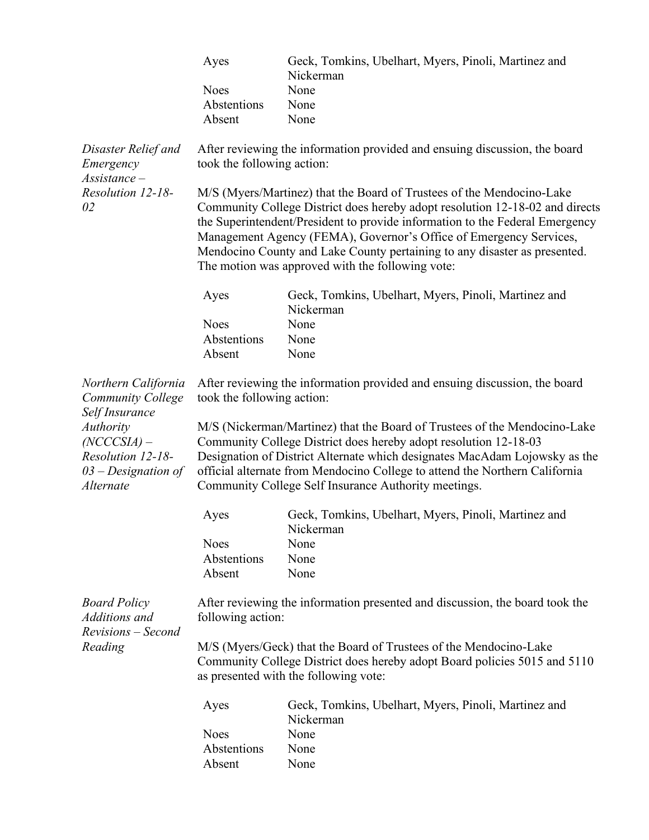|                                                                       | Ayes                                                                                                                                                                                    | Geck, Tomkins, Ubelhart, Myers, Pinoli, Martinez and<br>Nickerman                                                                                                                                                                                                                                                                                                                                                                            |  |
|-----------------------------------------------------------------------|-----------------------------------------------------------------------------------------------------------------------------------------------------------------------------------------|----------------------------------------------------------------------------------------------------------------------------------------------------------------------------------------------------------------------------------------------------------------------------------------------------------------------------------------------------------------------------------------------------------------------------------------------|--|
|                                                                       | <b>Noes</b>                                                                                                                                                                             | None                                                                                                                                                                                                                                                                                                                                                                                                                                         |  |
|                                                                       | Abstentions                                                                                                                                                                             | None                                                                                                                                                                                                                                                                                                                                                                                                                                         |  |
|                                                                       | Absent                                                                                                                                                                                  | None                                                                                                                                                                                                                                                                                                                                                                                                                                         |  |
| Disaster Relief and<br>Emergency<br>$Assistance -$                    | took the following action:                                                                                                                                                              | After reviewing the information provided and ensuing discussion, the board                                                                                                                                                                                                                                                                                                                                                                   |  |
| Resolution 12-18-<br>02                                               |                                                                                                                                                                                         | M/S (Myers/Martinez) that the Board of Trustees of the Mendocino-Lake<br>Community College District does hereby adopt resolution 12-18-02 and directs<br>the Superintendent/President to provide information to the Federal Emergency<br>Management Agency (FEMA), Governor's Office of Emergency Services,<br>Mendocino County and Lake County pertaining to any disaster as presented.<br>The motion was approved with the following vote: |  |
|                                                                       | Ayes                                                                                                                                                                                    | Geck, Tomkins, Ubelhart, Myers, Pinoli, Martinez and<br>Nickerman                                                                                                                                                                                                                                                                                                                                                                            |  |
|                                                                       | <b>Noes</b>                                                                                                                                                                             | None                                                                                                                                                                                                                                                                                                                                                                                                                                         |  |
|                                                                       | Abstentions                                                                                                                                                                             | None                                                                                                                                                                                                                                                                                                                                                                                                                                         |  |
|                                                                       | Absent                                                                                                                                                                                  | None                                                                                                                                                                                                                                                                                                                                                                                                                                         |  |
| Northern California                                                   | After reviewing the information provided and ensuing discussion, the board                                                                                                              |                                                                                                                                                                                                                                                                                                                                                                                                                                              |  |
| <b>Community College</b><br>Self Insurance                            | took the following action:                                                                                                                                                              |                                                                                                                                                                                                                                                                                                                                                                                                                                              |  |
| <b>Authority</b>                                                      | M/S (Nickerman/Martinez) that the Board of Trustees of the Mendocino-Lake<br>Community College District does hereby adopt resolution 12-18-03                                           |                                                                                                                                                                                                                                                                                                                                                                                                                                              |  |
| $(NCCCSIA) -$                                                         |                                                                                                                                                                                         |                                                                                                                                                                                                                                                                                                                                                                                                                                              |  |
| Resolution 12-18-<br>$03$ – Designation of                            | Designation of District Alternate which designates MacAdam Lojowsky as the                                                                                                              |                                                                                                                                                                                                                                                                                                                                                                                                                                              |  |
| Alternate                                                             | official alternate from Mendocino College to attend the Northern California<br>Community College Self Insurance Authority meetings.                                                     |                                                                                                                                                                                                                                                                                                                                                                                                                                              |  |
|                                                                       | Ayes                                                                                                                                                                                    | Geck, Tomkins, Ubelhart, Myers, Pinoli, Martinez and<br>Nickerman                                                                                                                                                                                                                                                                                                                                                                            |  |
|                                                                       | <b>Noes</b>                                                                                                                                                                             | None                                                                                                                                                                                                                                                                                                                                                                                                                                         |  |
|                                                                       | Abstentions                                                                                                                                                                             | None                                                                                                                                                                                                                                                                                                                                                                                                                                         |  |
|                                                                       | Absent                                                                                                                                                                                  | None                                                                                                                                                                                                                                                                                                                                                                                                                                         |  |
| <b>Board Policy</b><br>Additions and<br>Revisions - Second<br>Reading | After reviewing the information presented and discussion, the board took the<br>following action:                                                                                       |                                                                                                                                                                                                                                                                                                                                                                                                                                              |  |
|                                                                       | M/S (Myers/Geck) that the Board of Trustees of the Mendocino-Lake<br>Community College District does hereby adopt Board policies 5015 and 5110<br>as presented with the following vote: |                                                                                                                                                                                                                                                                                                                                                                                                                                              |  |
|                                                                       | Ayes                                                                                                                                                                                    | Geck, Tomkins, Ubelhart, Myers, Pinoli, Martinez and<br>Nickerman                                                                                                                                                                                                                                                                                                                                                                            |  |
|                                                                       | <b>Noes</b>                                                                                                                                                                             | None                                                                                                                                                                                                                                                                                                                                                                                                                                         |  |
|                                                                       | Abstentions                                                                                                                                                                             | None                                                                                                                                                                                                                                                                                                                                                                                                                                         |  |
|                                                                       | Absent                                                                                                                                                                                  | None                                                                                                                                                                                                                                                                                                                                                                                                                                         |  |
|                                                                       |                                                                                                                                                                                         |                                                                                                                                                                                                                                                                                                                                                                                                                                              |  |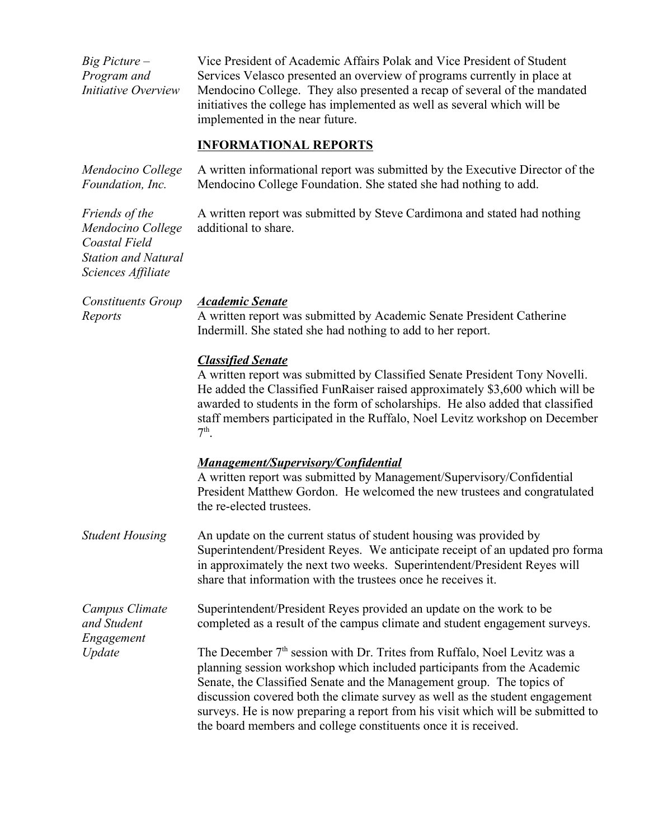| $Big$ Picture $-$<br>Program and<br>Initiative Overview                                                  | Vice President of Academic Affairs Polak and Vice President of Student<br>Services Velasco presented an overview of programs currently in place at<br>Mendocino College. They also presented a recap of several of the mandated<br>initiatives the college has implemented as well as several which will be<br>implemented in the near future.                                                                                                                                                                                                                                                                                       |  |  |
|----------------------------------------------------------------------------------------------------------|--------------------------------------------------------------------------------------------------------------------------------------------------------------------------------------------------------------------------------------------------------------------------------------------------------------------------------------------------------------------------------------------------------------------------------------------------------------------------------------------------------------------------------------------------------------------------------------------------------------------------------------|--|--|
|                                                                                                          | <b>INFORMATIONAL REPORTS</b>                                                                                                                                                                                                                                                                                                                                                                                                                                                                                                                                                                                                         |  |  |
| Mendocino College<br>Foundation, Inc.                                                                    | A written informational report was submitted by the Executive Director of the<br>Mendocino College Foundation. She stated she had nothing to add.                                                                                                                                                                                                                                                                                                                                                                                                                                                                                    |  |  |
| Friends of the<br>Mendocino College<br>Coastal Field<br><b>Station and Natural</b><br>Sciences Affiliate | A written report was submitted by Steve Cardimona and stated had nothing<br>additional to share.                                                                                                                                                                                                                                                                                                                                                                                                                                                                                                                                     |  |  |
| <b>Constituents Group</b><br>Reports                                                                     | <b>Academic Senate</b><br>A written report was submitted by Academic Senate President Catherine<br>Indermill. She stated she had nothing to add to her report.                                                                                                                                                                                                                                                                                                                                                                                                                                                                       |  |  |
|                                                                                                          | <b>Classified Senate</b><br>A written report was submitted by Classified Senate President Tony Novelli.<br>He added the Classified FunRaiser raised approximately \$3,600 which will be<br>awarded to students in the form of scholarships. He also added that classified<br>staff members participated in the Ruffalo, Noel Levitz workshop on December<br>$7th$ .                                                                                                                                                                                                                                                                  |  |  |
|                                                                                                          | <b>Management/Supervisory/Confidential</b><br>A written report was submitted by Management/Supervisory/Confidential<br>President Matthew Gordon. He welcomed the new trustees and congratulated<br>the re-elected trustees.                                                                                                                                                                                                                                                                                                                                                                                                          |  |  |
| <b>Student Housing</b>                                                                                   | An update on the current status of student housing was provided by<br>Superintendent/President Reyes. We anticipate receipt of an updated pro forma<br>in approximately the next two weeks. Superintendent/President Reyes will<br>share that information with the trustees once he receives it.                                                                                                                                                                                                                                                                                                                                     |  |  |
| Campus Climate<br>and Student<br>Engagement<br>Update                                                    | Superintendent/President Reyes provided an update on the work to be<br>completed as a result of the campus climate and student engagement surveys.<br>The December 7 <sup>th</sup> session with Dr. Trites from Ruffalo, Noel Levitz was a<br>planning session workshop which included participants from the Academic<br>Senate, the Classified Senate and the Management group. The topics of<br>discussion covered both the climate survey as well as the student engagement<br>surveys. He is now preparing a report from his visit which will be submitted to<br>the board members and college constituents once it is received. |  |  |